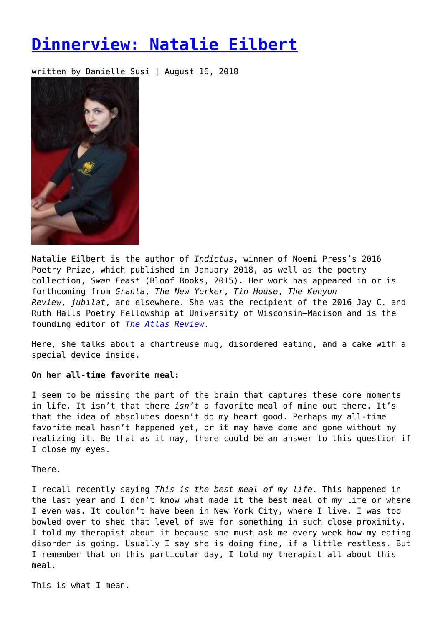# **[Dinnerview: Natalie Eilbert](https://entropymag.org/dinnerview-natalie-eilbert/)**

written by Danielle Susi | August 16, 2018



Natalie Eilbert is the author of *Indictus*, winner of Noemi Press's 2016 Poetry Prize, which published in January 2018, as well as the poetry collection, *Swan Feast* (Bloof Books, 2015). Her work has appeared in or is forthcoming from *Granta*, *The New Yorker*, *Tin House*, *The Kenyon Review*, *jubilat*, and elsewhere. She was the recipient of the 2016 Jay C. and Ruth Halls Poetry Fellowship at University of Wisconsin–Madison and is the founding editor of *[The Atlas Review](http://theatlasreview.com/)*.

Here, she talks about a chartreuse mug, disordered eating, and a cake with a special device inside.

# **On her all-time favorite meal:**

I seem to be missing the part of the brain that captures these core moments in life. It isn't that there *isn't* a favorite meal of mine out there. It's that the idea of absolutes doesn't do my heart good. Perhaps my all-time favorite meal hasn't happened yet, or it may have come and gone without my realizing it. Be that as it may, there could be an answer to this question if I close my eyes.

There.

I recall recently saying *This is the best meal of my life*. This happened in the last year and I don't know what made it the best meal of my life or where I even was. It couldn't have been in New York City, where I live. I was too bowled over to shed that level of awe for something in such close proximity. I told my therapist about it because she must ask me every week how my eating disorder is going. Usually I say she is doing fine, if a little restless. But I remember that on this particular day, I told my therapist all about this meal.

This is what I mean.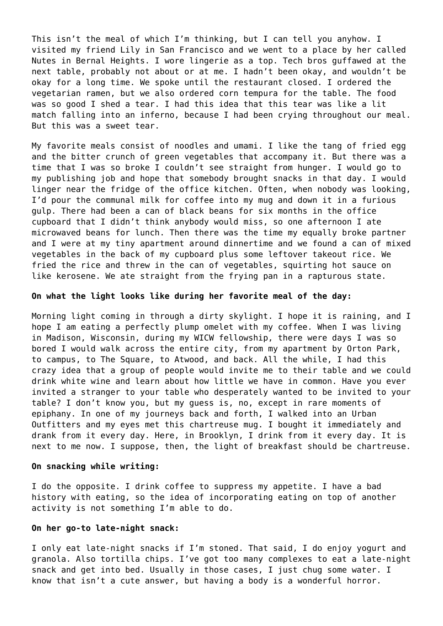This isn't the meal of which I'm thinking, but I can tell you anyhow. I visited my friend Lily in San Francisco and we went to a place by her called Nutes in Bernal Heights. I wore lingerie as a top. Tech bros guffawed at the next table, probably not about or at me. I hadn't been okay, and wouldn't be okay for a long time. We spoke until the restaurant closed. I ordered the vegetarian ramen, but we also ordered corn tempura for the table. The food was so good I shed a tear. I had this idea that this tear was like a lit match falling into an inferno, because I had been crying throughout our meal. But this was a sweet tear.

My favorite meals consist of noodles and umami. I like the tang of fried egg and the bitter crunch of green vegetables that accompany it. But there was a time that I was so broke I couldn't see straight from hunger. I would go to my publishing job and hope that somebody brought snacks in that day. I would linger near the fridge of the office kitchen. Often, when nobody was looking, I'd pour the communal milk for coffee into my mug and down it in a furious gulp. There had been a can of black beans for six months in the office cupboard that I didn't think anybody would miss, so one afternoon I ate microwaved beans for lunch. Then there was the time my equally broke partner and I were at my tiny apartment around dinnertime and we found a can of mixed vegetables in the back of my cupboard plus some leftover takeout rice. We fried the rice and threw in the can of vegetables, squirting hot sauce on like kerosene. We ate straight from the frying pan in a rapturous state.

## **On what the light looks like during her favorite meal of the day:**

Morning light coming in through a dirty skylight. I hope it is raining, and I hope I am eating a perfectly plump omelet with my coffee. When I was living in Madison, Wisconsin, during my WICW fellowship, there were days I was so bored I would walk across the entire city, from my apartment by Orton Park, to campus, to The Square, to Atwood, and back. All the while, I had this crazy idea that a group of people would invite me to their table and we could drink white wine and learn about how little we have in common. Have you ever invited a stranger to your table who desperately wanted to be invited to your table? I don't know you, but my guess is, no, except in rare moments of epiphany. In one of my journeys back and forth, I walked into an Urban Outfitters and my eyes met this chartreuse mug. I bought it immediately and drank from it every day. Here, in Brooklyn, I drink from it every day. It is next to me now. I suppose, then, the light of breakfast should be chartreuse.

#### **On snacking while writing:**

I do the opposite. I drink coffee to suppress my appetite. I have a bad history with eating, so the idea of incorporating eating on top of another activity is not something I'm able to do.

#### **On her go-to late-night snack:**

I only eat late-night snacks if I'm stoned. That said, I do enjoy yogurt and granola. Also tortilla chips. I've got too many complexes to eat a late-night snack and get into bed. Usually in those cases, I just chug some water. I know that isn't a cute answer, but having a body is a wonderful horror.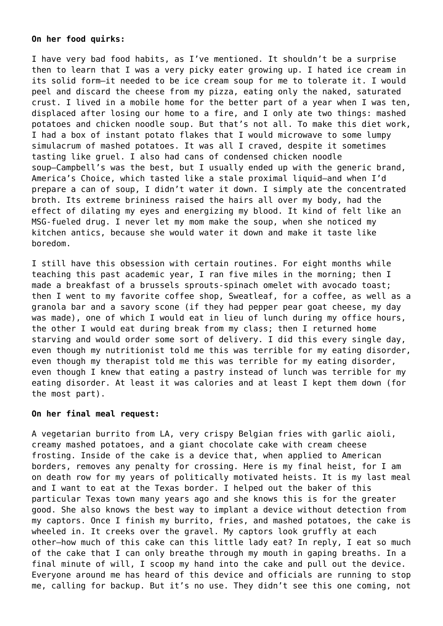## **On her food quirks:**

I have very bad food habits, as I've mentioned. It shouldn't be a surprise then to learn that I was a very picky eater growing up. I hated ice cream in its solid form—it needed to be ice cream soup for me to tolerate it. I would peel and discard the cheese from my pizza, eating only the naked, saturated crust. I lived in a mobile home for the better part of a year when I was ten, displaced after losing our home to a fire, and I only ate two things: mashed potatoes and chicken noodle soup. But that's not all. To make this diet work, I had a box of instant potato flakes that I would microwave to some lumpy simulacrum of mashed potatoes. It was all I craved, despite it sometimes tasting like gruel. I also had cans of condensed chicken noodle soup—Campbell's was the best, but I usually ended up with the generic brand, America's Choice, which tasted like a stale proximal liquid—and when I'd prepare a can of soup, I didn't water it down. I simply ate the concentrated broth. Its extreme brininess raised the hairs all over my body, had the effect of dilating my eyes and energizing my blood. It kind of felt like an MSG-fueled drug. I never let my mom make the soup, when she noticed my kitchen antics, because she would water it down and make it taste like boredom.

I still have this obsession with certain routines. For eight months while teaching this past academic year, I ran five miles in the morning; then I made a breakfast of a brussels sprouts-spinach omelet with avocado toast; then I went to my favorite coffee shop, Sweatleaf, for a coffee, as well as a granola bar and a savory scone (if they had pepper pear goat cheese, my day was made), one of which I would eat in lieu of lunch during my office hours, the other I would eat during break from my class; then I returned home starving and would order some sort of delivery. I did this every single day, even though my nutritionist told me this was terrible for my eating disorder, even though my therapist told me this was terrible for my eating disorder, even though I knew that eating a pastry instead of lunch was terrible for my eating disorder. At least it was calories and at least I kept them down (for the most part).

# **On her final meal request:**

A vegetarian burrito from LA, very crispy Belgian fries with garlic aioli, creamy mashed potatoes, and a giant chocolate cake with cream cheese frosting. Inside of the cake is a device that, when applied to American borders, removes any penalty for crossing. Here is my final heist, for I am on death row for my years of politically motivated heists. It is my last meal and I want to eat at the Texas border. I helped out the baker of this particular Texas town many years ago and she knows this is for the greater good. She also knows the best way to implant a device without detection from my captors. Once I finish my burrito, fries, and mashed potatoes, the cake is wheeled in. It creeks over the gravel. My captors look gruffly at each other—how much of this cake can this little lady eat? In reply, I eat so much of the cake that I can only breathe through my mouth in gaping breaths. In a final minute of will, I scoop my hand into the cake and pull out the device. Everyone around me has heard of this device and officials are running to stop me, calling for backup. But it's no use. They didn't see this one coming, not